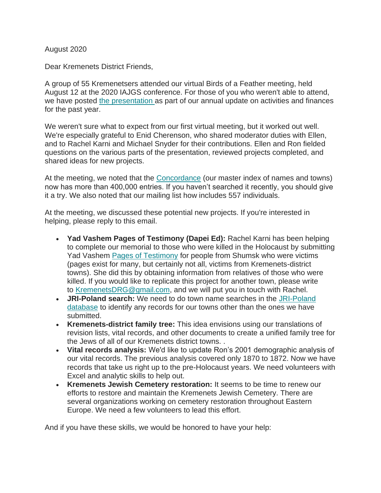August 2020

Dear Kremenets District Friends,

A group of 55 Kremenetsers attended our virtual Birds of a Feather meeting, held August 12 at the 2020 IAJGS conference. For those of you who weren't able to attend, we have posted [the presentation](http://www.kehilalinks.jewishgen.org/Kremenets/web-pages/documents/update%20reports/Presentation-Aug-2020-KDRG-Annual-Meeting-IAJGS.pdf) as part of our annual update on activities and finances for the past year.

We weren't sure what to expect from our first virtual meeting, but it worked out well. We're especially grateful to Enid Cherenson, who shared moderator duties with Ellen, and to Rachel Karni and Michael Snyder for their contributions. Ellen and Ron fielded questions on the various parts of the presentation, reviewed projects completed, and shared ideas for new projects.

At the meeting, we noted that the [Concordance](https://kehilalinks.jewishgen.org/Kremenets/web-pages/master-surnames.html) (our master index of names and towns) now has more than 400,000 entries. If you haven't searched it recently, you should give it a try. We also noted that our mailing list how includes 557 individuals.

At the meeting, we discussed these potential new projects. If you're interested in helping, please reply to this email.

- **Yad Vashem Pages of Testimony (Dapei Ed):** Rachel Karni has been helping to complete our memorial to those who were killed in the Holocaust by submitting Yad Vashem [Pages of Testimony](https://www.yadvashem.org/archive/hall-of-names/pages-of-testimony.html#:~:text=Pages%20of%20Testimony%20are%20special,the%20Nazis%20and%20their%20accomplices.) for people from Shumsk who were victims (pages exist for many, but certainly not all, victims from Kremenets-district towns). She did this by obtaining information from relatives of those who were killed. If you would like to replicate this project for another town, please write to [KremenetsDRG@gmail.com,](mailto:KremenetsDRG@gmail.com) and we will put you in touch with Rachel.
- **JRI-Poland search:** We need to do town name searches in the [JRI-Poland](https://jri-poland.org/jriplweb.htm)  [database](https://jri-poland.org/jriplweb.htm) to identify any records for our towns other than the ones we have submitted.
- **Kremenets-district family tree:** This idea envisions using our translations of revision lists, vital records, and other documents to create a unified family tree for the Jews of all of our Kremenets district towns. .
- **Vital records analysis:** We'd like to update Ron's 2001 demographic analysis of our vital records. The previous analysis covered only 1870 to 1872. Now we have records that take us right up to the pre-Holocaust years. We need volunteers with Excel and analytic skills to help out.
- **Kremenets Jewish Cemetery restoration:** It seems to be time to renew our efforts to restore and maintain the Kremenets Jewish Cemetery. There are several organizations working on cemetery restoration throughout Eastern Europe. We need a few volunteers to lead this effort.

And if you have these skills, we would be honored to have your help: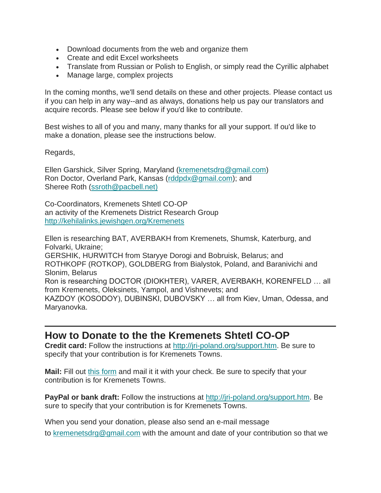- Download documents from the web and organize them
- Create and edit Excel worksheets
- Translate from Russian or Polish to English, or simply read the Cyrillic alphabet
- Manage large, complex projects

In the coming months, we'll send details on these and other projects. Please contact us if you can help in any way--and as always, donations help us pay our translators and acquire records. Please see below if you'd like to contribute.

Best wishes to all of you and many, many thanks for all your support. If ou'd like to make a donation, please see the instructions below.

Regards,

Ellen Garshick, Silver Spring, Maryland [\(kremenetsdrg@gmail.com\)](mailto:kremenetsdrg@gmail.com) Ron Doctor, Overland Park, Kansas [\(rddpdx@gmail.com\)](mailto:rddpdx@gmail.com); and Sheree Roth [\(ssroth@pacbell.net\)](mailto:ssroth@pacbell.net))

Co-Coordinators, Kremenets Shtetl CO-OP an activity of the Kremenets District Research Group <http://kehilalinks.jewishgen.org/Kremenets>

Ellen is researching BAT, AVERBAKH from Kremenets, Shumsk, Katerburg, and Folvarki, Ukraine; GERSHIK, HURWITCH from Staryye Dorogi and Bobruisk, Belarus; and ROTHKOPF (ROTKOP), GOLDBERG from Bialystok, Poland, and Baranivichi and Slonim, Belarus Ron is researching DOCTOR (DIOKHTER), VARER, AVERBAKH, KORENFELD … all from Kremenets, Oleksinets, Yampol, and Vishnevets; and KAZDOY (KOSODOY), DUBINSKI, DUBOVSKY … all from Kiev, Uman, Odessa, and Maryanovka.

## **How to Donate to the the Kremenets Shtetl CO-OP**

**Credit card:** Follow the instructions at [http://jri-poland.org/support.htm.](http://jri-poland.org/support.htm) Be sure to specify that your contribution is for Kremenets Towns.

**Mail:** Fill out [this form](https://jri-poland.org/noninternetdonationform.pdf) and mail it it with your check. Be sure to specify that your contribution is for Kremenets Towns.

**PayPal or bank draft:** Follow the instructions at [http://jri-poland.org/support.htm.](http://jri-poland.org/support.htm) Be sure to specify that your contribution is for Kremenets Towns.

When you send your donation, please also send an e-mail message

to [kremenetsdrg@gmail.com](mailto:kremenetsdrg@gmail.com) with the amount and date of your contribution so that we